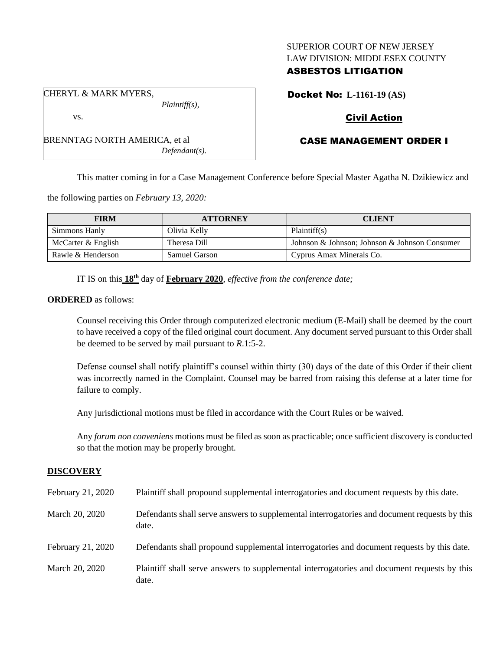### SUPERIOR COURT OF NEW JERSEY LAW DIVISION: MIDDLESEX COUNTY

## ASBESTOS LITIGATION

Docket No: **L-1161-19 (AS)**

# Civil Action

# CASE MANAGEMENT ORDER I

This matter coming in for a Case Management Conference before Special Master Agatha N. Dzikiewicz and

the following parties on *February 13, 2020:*

BRENNTAG NORTH AMERICA, et al

| <b>FIRM</b>        | <b>ATTORNEY</b> | <b>CLIENT</b>                                 |
|--------------------|-----------------|-----------------------------------------------|
| Simmons Hanly      | Olivia Kelly    | Plaintiff(s)                                  |
| McCarter & English | Theresa Dill    | Johnson & Johnson; Johnson & Johnson Consumer |
| Rawle & Henderson  | Samuel Garson   | Cyprus Amax Minerals Co.                      |

IT IS on this **18th** day of **February 2020**, *effective from the conference date;*

*Defendant(s).*

#### **ORDERED** as follows:

Counsel receiving this Order through computerized electronic medium (E-Mail) shall be deemed by the court to have received a copy of the filed original court document. Any document served pursuant to this Order shall be deemed to be served by mail pursuant to *R*.1:5-2.

Defense counsel shall notify plaintiff's counsel within thirty (30) days of the date of this Order if their client was incorrectly named in the Complaint. Counsel may be barred from raising this defense at a later time for failure to comply.

Any jurisdictional motions must be filed in accordance with the Court Rules or be waived.

Any *forum non conveniens* motions must be filed as soon as practicable; once sufficient discovery is conducted so that the motion may be properly brought.

## **DISCOVERY**

| February 21, 2020 | Plaintiff shall propound supplemental interrogatories and document requests by this date.             |
|-------------------|-------------------------------------------------------------------------------------------------------|
| March 20, 2020    | Defendants shall serve answers to supplemental interrogatories and document requests by this<br>date. |
| February 21, 2020 | Defendants shall propound supplemental interrogatories and document requests by this date.            |
| March 20, 2020    | Plaintiff shall serve answers to supplemental interrogatories and document requests by this<br>date.  |

CHERYL & MARK MYERS, *Plaintiff(s),*

vs.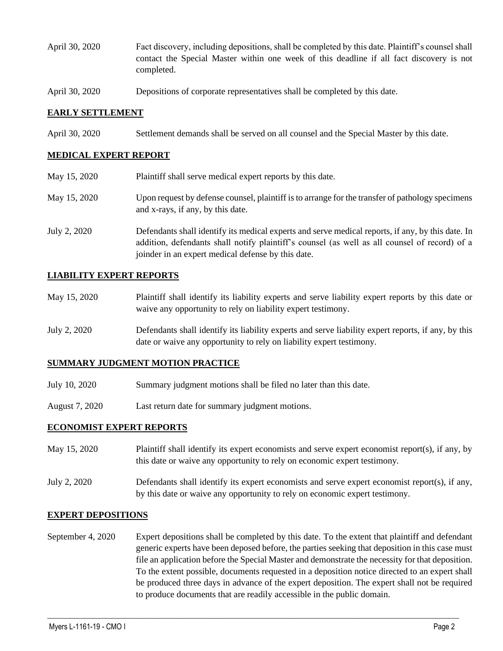- April 30, 2020 Fact discovery, including depositions, shall be completed by this date. Plaintiff's counsel shall contact the Special Master within one week of this deadline if all fact discovery is not completed.
- April 30, 2020 Depositions of corporate representatives shall be completed by this date.

#### **EARLY SETTLEMENT**

April 30, 2020 Settlement demands shall be served on all counsel and the Special Master by this date.

## **MEDICAL EXPERT REPORT**

| May 15, 2020 | Plaintiff shall serve medical expert reports by this date.                                                                                                                                                                                               |
|--------------|----------------------------------------------------------------------------------------------------------------------------------------------------------------------------------------------------------------------------------------------------------|
| May 15, 2020 | Upon request by defense counsel, plaintiff is to arrange for the transfer of pathology specimens<br>and x-rays, if any, by this date.                                                                                                                    |
| July 2, 2020 | Defendants shall identify its medical experts and serve medical reports, if any, by this date. In<br>addition, defendants shall notify plaintiff's counsel (as well as all counsel of record) of a<br>joinder in an expert medical defense by this date. |

#### **LIABILITY EXPERT REPORTS**

| May 15, 2020 | Plaintiff shall identify its liability experts and serve liability expert reports by this date or |
|--------------|---------------------------------------------------------------------------------------------------|
|              | waive any opportunity to rely on liability expert testimony.                                      |

July 2, 2020 Defendants shall identify its liability experts and serve liability expert reports, if any, by this date or waive any opportunity to rely on liability expert testimony.

## **SUMMARY JUDGMENT MOTION PRACTICE**

- July 10, 2020 Summary judgment motions shall be filed no later than this date.
- August 7, 2020 Last return date for summary judgment motions.

#### **ECONOMIST EXPERT REPORTS**

- May 15, 2020 Plaintiff shall identify its expert economists and serve expert economist report(s), if any, by this date or waive any opportunity to rely on economic expert testimony.
- July 2, 2020 Defendants shall identify its expert economists and serve expert economist report(s), if any, by this date or waive any opportunity to rely on economic expert testimony.

#### **EXPERT DEPOSITIONS**

September 4, 2020 Expert depositions shall be completed by this date. To the extent that plaintiff and defendant generic experts have been deposed before, the parties seeking that deposition in this case must file an application before the Special Master and demonstrate the necessity for that deposition. To the extent possible, documents requested in a deposition notice directed to an expert shall be produced three days in advance of the expert deposition. The expert shall not be required to produce documents that are readily accessible in the public domain.

 $\_$  , and the set of the set of the set of the set of the set of the set of the set of the set of the set of the set of the set of the set of the set of the set of the set of the set of the set of the set of the set of th